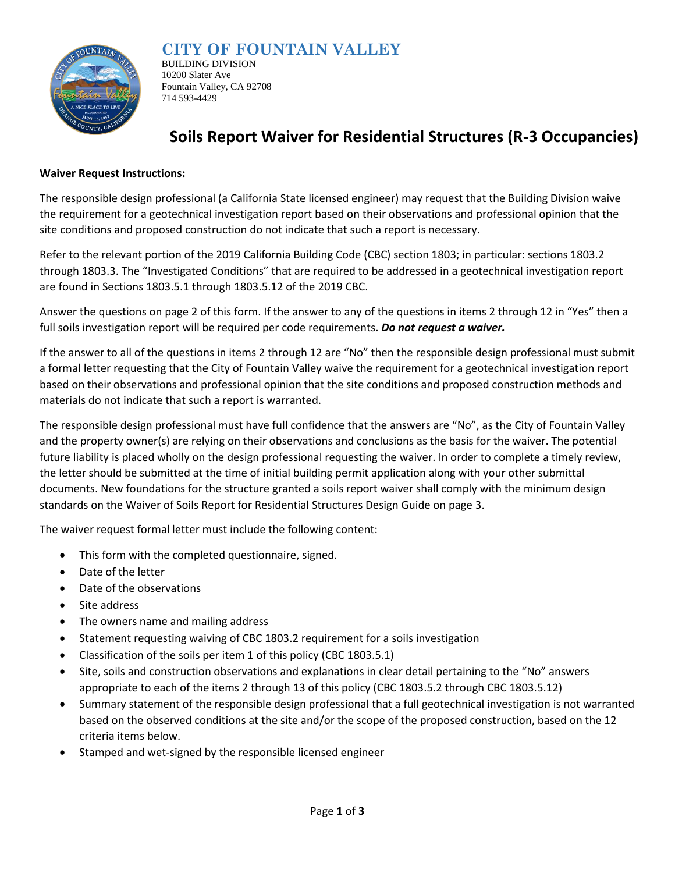

### **CITY OF FOUNTAIN VALLEY**

BUILDING DIVISION 10200 Slater Ave Fountain Valley, CA 92708 714 593-4429

## **Soils Report Waiver for Residential Structures (R-3 Occupancies)**

#### **Waiver Request Instructions:**

The responsible design professional (a California State licensed engineer) may request that the Building Division waive the requirement for a geotechnical investigation report based on their observations and professional opinion that the site conditions and proposed construction do not indicate that such a report is necessary.

Refer to the relevant portion of the 2019 California Building Code (CBC) section 1803; in particular: sections 1803.2 through 1803.3. The "Investigated Conditions" that are required to be addressed in a geotechnical investigation report are found in Sections 1803.5.1 through 1803.5.12 of the 2019 CBC.

Answer the questions on page 2 of this form. If the answer to any of the questions in items 2 through 12 in "Yes" then a full soils investigation report will be required per code requirements. *Do not request a waiver.*

If the answer to all of the questions in items 2 through 12 are "No" then the responsible design professional must submit a formal letter requesting that the City of Fountain Valley waive the requirement for a geotechnical investigation report based on their observations and professional opinion that the site conditions and proposed construction methods and materials do not indicate that such a report is warranted.

The responsible design professional must have full confidence that the answers are "No", as the City of Fountain Valley and the property owner(s) are relying on their observations and conclusions as the basis for the waiver. The potential future liability is placed wholly on the design professional requesting the waiver. In order to complete a timely review, the letter should be submitted at the time of initial building permit application along with your other submittal documents. New foundations for the structure granted a soils report waiver shall comply with the minimum design standards on the Waiver of Soils Report for Residential Structures Design Guide on page 3.

The waiver request formal letter must include the following content:

- This form with the completed questionnaire, signed.
- Date of the letter
- Date of the observations
- Site address
- The owners name and mailing address
- Statement requesting waiving of CBC 1803.2 requirement for a soils investigation
- Classification of the soils per item 1 of this policy (CBC 1803.5.1)
- Site, soils and construction observations and explanations in clear detail pertaining to the "No" answers appropriate to each of the items 2 through 13 of this policy (CBC 1803.5.2 through CBC 1803.5.12)
- Summary statement of the responsible design professional that a full geotechnical investigation is not warranted based on the observed conditions at the site and/or the scope of the proposed construction, based on the 12 criteria items below.
- Stamped and wet-signed by the responsible licensed engineer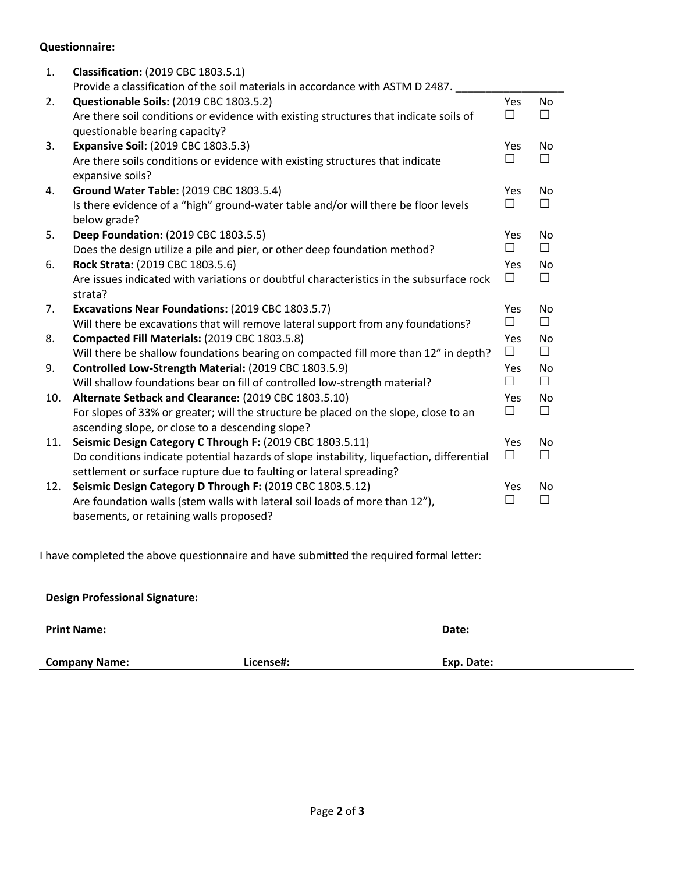#### **Questionnaire:**

| 1.  | <b>Classification: (2019 CBC 1803.5.1)</b>                                                         |              |        |
|-----|----------------------------------------------------------------------------------------------------|--------------|--------|
|     | Provide a classification of the soil materials in accordance with ASTM D 2487.                     |              |        |
| 2.  | Questionable Soils: (2019 CBC 1803.5.2)                                                            | Yes          | No     |
|     | Are there soil conditions or evidence with existing structures that indicate soils of              | П            | П      |
|     | questionable bearing capacity?                                                                     |              |        |
| 3.  | <b>Expansive Soil: (2019 CBC 1803.5.3)</b>                                                         | <b>Yes</b>   | No     |
|     | Are there soils conditions or evidence with existing structures that indicate<br>expansive soils?  | $\Box$       | $\Box$ |
| 4.  | Ground Water Table: (2019 CBC 1803.5.4)                                                            | Yes          | No     |
|     | Is there evidence of a "high" ground-water table and/or will there be floor levels<br>below grade? | $\mathsf{L}$ | П      |
| 5.  | Deep Foundation: (2019 CBC 1803.5.5)                                                               | Yes          | No     |
|     | Does the design utilize a pile and pier, or other deep foundation method?                          | $\Box$       | $\Box$ |
| 6.  | Rock Strata: (2019 CBC 1803.5.6)                                                                   | Yes          | No.    |
|     | Are issues indicated with variations or doubtful characteristics in the subsurface rock            | П            | $\Box$ |
|     | strata?                                                                                            |              |        |
| 7.  | Excavations Near Foundations: (2019 CBC 1803.5.7)                                                  | Yes          | No     |
|     | Will there be excavations that will remove lateral support from any foundations?                   | $\Box$       | $\Box$ |
| 8.  | Compacted Fill Materials: (2019 CBC 1803.5.8)                                                      | Yes          | No     |
|     | Will there be shallow foundations bearing on compacted fill more than 12" in depth?                | $\Box$       | $\Box$ |
| 9.  | Controlled Low-Strength Material: (2019 CBC 1803.5.9)                                              | <b>Yes</b>   | No.    |
|     | Will shallow foundations bear on fill of controlled low-strength material?                         | $\Box$       | $\Box$ |
| 10. | Alternate Setback and Clearance: (2019 CBC 1803.5.10)                                              | Yes          | No     |
|     | For slopes of 33% or greater; will the structure be placed on the slope, close to an               | $\Box$       | $\Box$ |
|     | ascending slope, or close to a descending slope?                                                   |              |        |
| 11. | Seismic Design Category C Through F: (2019 CBC 1803.5.11)                                          | Yes          | No     |
|     | Do conditions indicate potential hazards of slope instability, liquefaction, differential          | $\Box$       | П      |
|     | settlement or surface rupture due to faulting or lateral spreading?                                |              |        |
| 12. | Seismic Design Category D Through F: (2019 CBC 1803.5.12)                                          | Yes          | No     |
|     | Are foundation walls (stem walls with lateral soil loads of more than 12"),                        |              | П      |
|     | basements, or retaining walls proposed?                                                            |              |        |

I have completed the above questionnaire and have submitted the required formal letter:

# **Design Professional Signature: Print Name: Date: Company Name: License#: Exp. Date:**